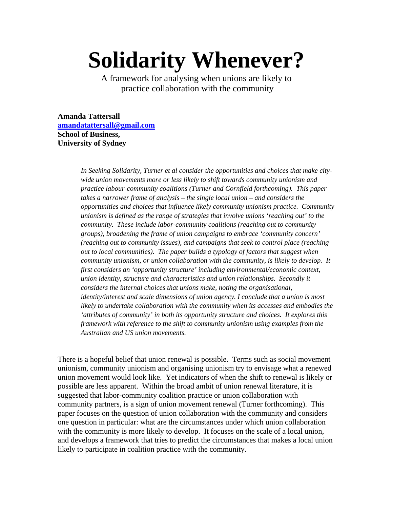# **Solidarity Whenever?**

A framework for analysing when unions are likely to practice collaboration with the community

**Amanda Tattersall [amandatattersall@gmail.com](mailto:amandatattersall@gmail.com) School of Business, University of Sydney** 

> *In Seeking Solidarity, Turner et al consider the opportunities and choices that make citywide union movements more or less likely to shift towards community unionism and practice labour-community coalitions (Turner and Cornfield forthcoming). This paper takes a narrower frame of analysis – the single local union – and considers the opportunities and choices that influence likely community unionism practice. Community unionism is defined as the range of strategies that involve unions 'reaching out' to the community. These include labor-community coalitions (reaching out to community groups), broadening the frame of union campaigns to embrace 'community concern' (reaching out to community issues), and campaigns that seek to control place (reaching out to local communities). The paper builds a typology of factors that suggest when community unionism, or union collaboration with the community, is likely to develop. It first considers an 'opportunity structure' including environmental/economic context, union identity, structure and characteristics and union relationships. Secondly it considers the internal choices that unions make, noting the organisational, identity/interest and scale dimensions of union agency. I conclude that a union is most likely to undertake collaboration with the community when its accesses and embodies the 'attributes of community' in both its opportunity structure and choices. It explores this framework with reference to the shift to community unionism using examples from the Australian and US union movements.*

There is a hopeful belief that union renewal is possible. Terms such as social movement unionism, community unionism and organising unionism try to envisage what a renewed union movement would look like. Yet indicators of when the shift to renewal is likely or possible are less apparent. Within the broad ambit of union renewal literature, it is suggested that labor-community coalition practice or union collaboration with community partners, is a sign of union movement renewal (Turner forthcoming). This paper focuses on the question of union collaboration with the community and considers one question in particular: what are the circumstances under which union collaboration with the community is more likely to develop. It focuses on the scale of a local union, and develops a framework that tries to predict the circumstances that makes a local union likely to participate in coalition practice with the community.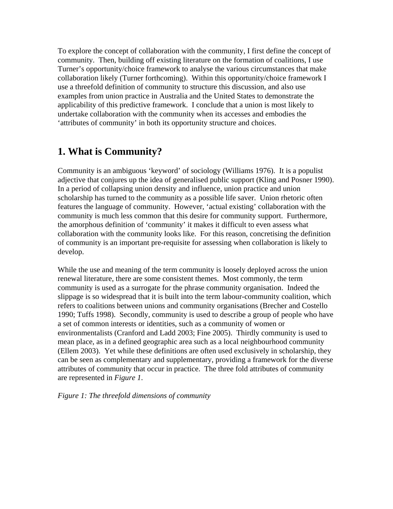To explore the concept of collaboration with the community, I first define the concept of community. Then, building off existing literature on the formation of coalitions, I use Turner's opportunity/choice framework to analyse the various circumstances that make collaboration likely (Turner forthcoming). Within this opportunity/choice framework I use a threefold definition of community to structure this discussion, and also use examples from union practice in Australia and the United States to demonstrate the applicability of this predictive framework. I conclude that a union is most likely to undertake collaboration with the community when its accesses and embodies the 'attributes of community' in both its opportunity structure and choices.

## **1. What is Community?**

Community is an ambiguous 'keyword' of sociology (Williams 1976). It is a populist adjective that conjures up the idea of generalised public support (Kling and Posner 1990). In a period of collapsing union density and influence, union practice and union scholarship has turned to the community as a possible life saver. Union rhetoric often features the language of community. However, 'actual existing' collaboration with the community is much less common that this desire for community support. Furthermore, the amorphous definition of 'community' it makes it difficult to even assess what collaboration with the community looks like. For this reason, concretising the definition of community is an important pre-requisite for assessing when collaboration is likely to develop.

While the use and meaning of the term community is loosely deployed across the union renewal literature, there are some consistent themes. Most commonly, the term community is used as a surrogate for the phrase community organisation. Indeed the slippage is so widespread that it is built into the term labour-community coalition, which refers to coalitions between unions and community organisations (Brecher and Costello 1990; Tuffs 1998). Secondly, community is used to describe a group of people who have a set of common interests or identities, such as a community of women or environmentalists (Cranford and Ladd 2003; Fine 2005). Thirdly community is used to mean place, as in a defined geographic area such as a local neighbourhood community (Ellem 2003). Yet while these definitions are often used exclusively in scholarship, they can be seen as complementary and supplementary, providing a framework for the diverse attributes of community that occur in practice. The three fold attributes of community are represented in *Figure 1*.

*Figure 1: The threefold dimensions of community*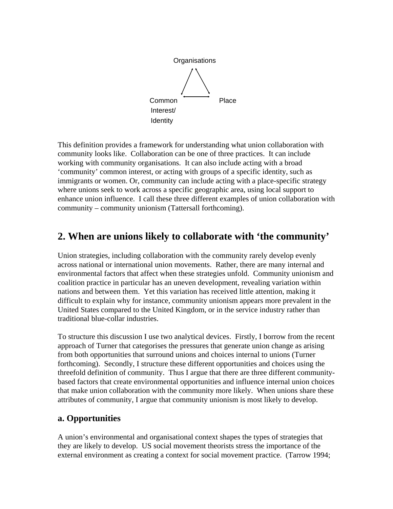

This definition provides a framework for understanding what union collaboration with community looks like. Collaboration can be one of three practices. It can include working with community organisations. It can also include acting with a broad 'community' common interest, or acting with groups of a specific identity, such as immigrants or women. Or, community can include acting with a place-specific strategy where unions seek to work across a specific geographic area, using local support to enhance union influence. I call these three different examples of union collaboration with community – community unionism (Tattersall forthcoming).

## **2. When are unions likely to collaborate with 'the community'**

Union strategies, including collaboration with the community rarely develop evenly across national or international union movements. Rather, there are many internal and environmental factors that affect when these strategies unfold. Community unionism and coalition practice in particular has an uneven development, revealing variation within nations and between them. Yet this variation has received little attention, making it difficult to explain why for instance, community unionism appears more prevalent in the United States compared to the United Kingdom, or in the service industry rather than traditional blue-collar industries.

To structure this discussion I use two analytical devices. Firstly, I borrow from the recent approach of Turner that categorises the pressures that generate union change as arising from both opportunities that surround unions and choices internal to unions (Turner forthcoming). Secondly, I structure these different opportunities and choices using the threefold definition of community. Thus I argue that there are three different communitybased factors that create environmental opportunities and influence internal union choices that make union collaboration with the community more likely. When unions share these attributes of community, I argue that community unionism is most likely to develop.

## **a. Opportunities**

A union's environmental and organisational context shapes the types of strategies that they are likely to develop. US social movement theorists stress the importance of the external environment as creating a context for social movement practice. (Tarrow 1994;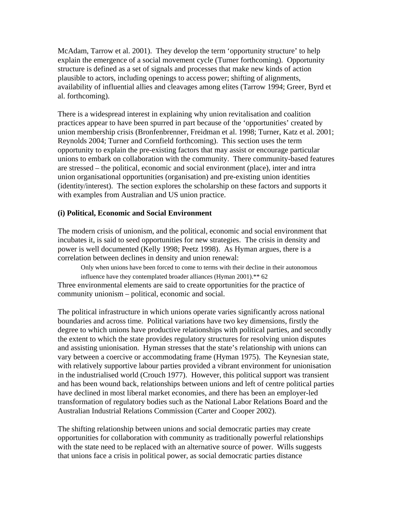McAdam, Tarrow et al. 2001). They develop the term 'opportunity structure' to help explain the emergence of a social movement cycle (Turner forthcoming). Opportunity structure is defined as a set of signals and processes that make new kinds of action plausible to actors, including openings to access power; shifting of alignments, availability of influential allies and cleavages among elites (Tarrow 1994; Greer, Byrd et al. forthcoming).

There is a widespread interest in explaining why union revitalisation and coalition practices appear to have been spurred in part because of the 'opportunities' created by union membership crisis (Bronfenbrenner, Freidman et al. 1998; Turner, Katz et al. 2001; Reynolds 2004; Turner and Cornfield forthcoming). This section uses the term opportunity to explain the pre-existing factors that may assist or encourage particular unions to embark on collaboration with the community. There community-based features are stressed – the political, economic and social environment (place), inter and intra union organisational opportunities (organisation) and pre-existing union identities (identity/interest). The section explores the scholarship on these factors and supports it with examples from Australian and US union practice.

## **(i) Political, Economic and Social Environment**

The modern crisis of unionism, and the political, economic and social environment that incubates it, is said to seed opportunities for new strategies. The crisis in density and power is well documented (Kelly 1998; Peetz 1998). As Hyman argues, there is a correlation between declines in density and union renewal:

 Only when unions have been forced to come to terms with their decline in their autonomous influence have they contemplated broader alliances (Hyman 2001).\*\* 62 Three environmental elements are said to create opportunities for the practice of community unionism – political, economic and social.

The political infrastructure in which unions operate varies significantly across national boundaries and across time. Political variations have two key dimensions, firstly the degree to which unions have productive relationships with political parties, and secondly the extent to which the state provides regulatory structures for resolving union disputes and assisting unionisation. Hyman stresses that the state's relationship with unions can vary between a coercive or accommodating frame (Hyman 1975). The Keynesian state, with relatively supportive labour parties provided a vibrant environment for unionisation in the industrialised world (Crouch 1977). However, this political support was transient and has been wound back, relationships between unions and left of centre political parties have declined in most liberal market economies, and there has been an employer-led transformation of regulatory bodies such as the National Labor Relations Board and the Australian Industrial Relations Commission (Carter and Cooper 2002).

The shifting relationship between unions and social democratic parties may create opportunities for collaboration with community as traditionally powerful relationships with the state need to be replaced with an alternative source of power. Wills suggests that unions face a crisis in political power, as social democratic parties distance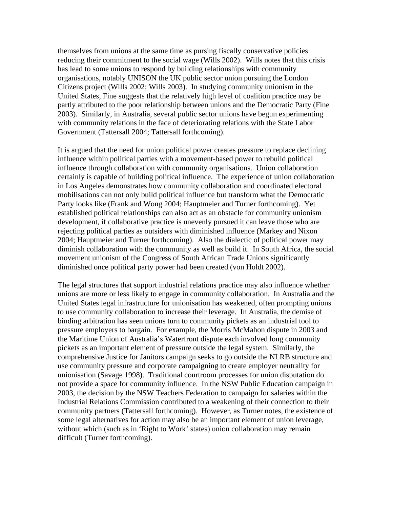themselves from unions at the same time as pursing fiscally conservative policies reducing their commitment to the social wage (Wills 2002). Wills notes that this crisis has lead to some unions to respond by building relationships with community organisations, notably UNISON the UK public sector union pursuing the London Citizens project (Wills 2002; Wills 2003). In studying community unionism in the United States, Fine suggests that the relatively high level of coalition practice may be partly attributed to the poor relationship between unions and the Democratic Party (Fine 2003). Similarly, in Australia, several public sector unions have begun experimenting with community relations in the face of deteriorating relations with the State Labor Government (Tattersall 2004; Tattersall forthcoming).

It is argued that the need for union political power creates pressure to replace declining influence within political parties with a movement-based power to rebuild political influence through collaboration with community organisations. Union collaboration certainly is capable of building political influence. The experience of union collaboration in Los Angeles demonstrates how community collaboration and coordinated electoral mobilisations can not only build political influence but transform what the Democratic Party looks like (Frank and Wong 2004; Hauptmeier and Turner forthcoming). Yet established political relationships can also act as an obstacle for community unionism development, if collaborative practice is unevenly pursued it can leave those who are rejecting political parties as outsiders with diminished influence (Markey and Nixon 2004; Hauptmeier and Turner forthcoming). Also the dialectic of political power may diminish collaboration with the community as well as build it. In South Africa, the social movement unionism of the Congress of South African Trade Unions significantly diminished once political party power had been created (von Holdt 2002).

The legal structures that support industrial relations practice may also influence whether unions are more or less likely to engage in community collaboration. In Australia and the United States legal infrastructure for unionisation has weakened, often prompting unions to use community collaboration to increase their leverage. In Australia, the demise of binding arbitration has seen unions turn to community pickets as an industrial tool to pressure employers to bargain. For example, the Morris McMahon dispute in 2003 and the Maritime Union of Australia's Waterfront dispute each involved long community pickets as an important element of pressure outside the legal system. Similarly, the comprehensive Justice for Janitors campaign seeks to go outside the NLRB structure and use community pressure and corporate campaigning to create employer neutrality for unionisation (Savage 1998). Traditional courtroom processes for union disputation do not provide a space for community influence. In the NSW Public Education campaign in 2003, the decision by the NSW Teachers Federation to campaign for salaries within the Industrial Relations Commission contributed to a weakening of their connection to their community partners (Tattersall forthcoming). However, as Turner notes, the existence of some legal alternatives for action may also be an important element of union leverage, without which (such as in 'Right to Work' states) union collaboration may remain difficult (Turner forthcoming).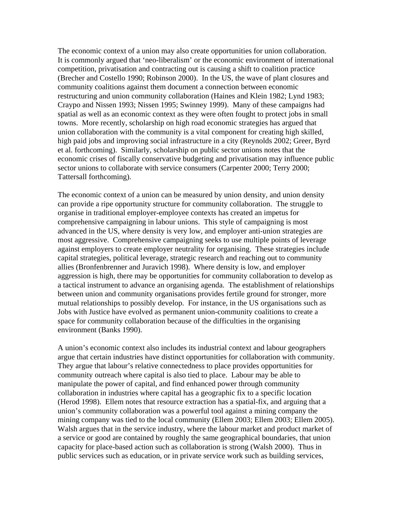The economic context of a union may also create opportunities for union collaboration. It is commonly argued that 'neo-liberalism' or the economic environment of international competition, privatisation and contracting out is causing a shift to coalition practice (Brecher and Costello 1990; Robinson 2000). In the US, the wave of plant closures and community coalitions against them document a connection between economic restructuring and union community collaboration (Haines and Klein 1982; Lynd 1983; Craypo and Nissen 1993; Nissen 1995; Swinney 1999). Many of these campaigns had spatial as well as an economic context as they were often fought to protect jobs in small towns. More recently, scholarship on high road economic strategies has argued that union collaboration with the community is a vital component for creating high skilled, high paid jobs and improving social infrastructure in a city (Reynolds 2002; Greer, Byrd et al. forthcoming). Similarly, scholarship on public sector unions notes that the economic crises of fiscally conservative budgeting and privatisation may influence public sector unions to collaborate with service consumers (Carpenter 2000; Terry 2000; Tattersall forthcoming).

The economic context of a union can be measured by union density, and union density can provide a ripe opportunity structure for community collaboration. The struggle to organise in traditional employer-employee contexts has created an impetus for comprehensive campaigning in labour unions. This style of campaigning is most advanced in the US, where density is very low, and employer anti-union strategies are most aggressive. Comprehensive campaigning seeks to use multiple points of leverage against employers to create employer neutrality for organising. These strategies include capital strategies, political leverage, strategic research and reaching out to community allies (Bronfenbrenner and Juravich 1998). Where density is low, and employer aggression is high, there may be opportunities for community collaboration to develop as a tactical instrument to advance an organising agenda. The establishment of relationships between union and community organisations provides fertile ground for stronger, more mutual relationships to possibly develop. For instance, in the US organisations such as Jobs with Justice have evolved as permanent union-community coalitions to create a space for community collaboration because of the difficulties in the organising environment (Banks 1990).

A union's economic context also includes its industrial context and labour geographers argue that certain industries have distinct opportunities for collaboration with community. They argue that labour's relative connectedness to place provides opportunities for community outreach where capital is also tied to place. Labour may be able to manipulate the power of capital, and find enhanced power through community collaboration in industries where capital has a geographic fix to a specific location (Herod 1998). Ellem notes that resource extraction has a spatial-fix, and arguing that a union's community collaboration was a powerful tool against a mining company the mining company was tied to the local community (Ellem 2003; Ellem 2003; Ellem 2005). Walsh argues that in the service industry, where the labour market and product market of a service or good are contained by roughly the same geographical boundaries, that union capacity for place-based action such as collaboration is strong (Walsh 2000). Thus in public services such as education, or in private service work such as building services,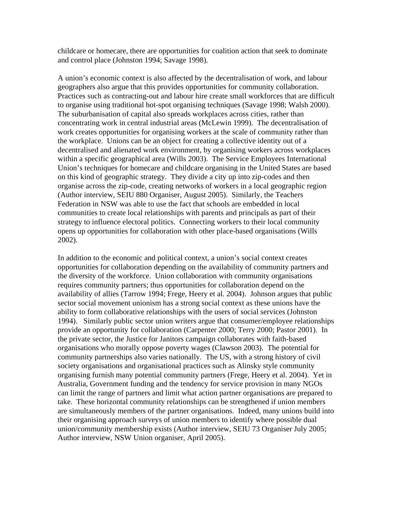childcare or homecare, there are opportunities for coalition action that seek to dominate and control place (Johnston 1994; Savage 1998).

A union's economic context is also affected by the decentralisation of work, and labour geographers also argue that this provides opportunities for community collaboration. Practices such as contracting-out and labour hire create small workforces that are difficult to organise using traditional hot-spot organising techniques (Savage 1998; Walsh 2000). The suburbanisation of capital also spreads workplaces across cities, rather than concentrating work in central industrial areas (McLewin 1999). The decentralisation of work creates opportunities for organising workers at the scale of community rather than the workplace. Unions can be an object for creating a collective identity out of a decentralised and alienated work environment, by organising workers across workplaces within a specific geographical area (Wills 2003). The Service Employees International Union's techniques for homecare and childcare organising in the United States are based on this kind of geographic strategy. They divide a city up into zip-codes and then organise across the zip-code, creating networks of workers in a local geographic region (Author interview, SEIU 880 Organiser, August 2005). Similarly, the Teachers Federation in NSW was able to use the fact that schools are embedded in local communities to create local relationships with parents and principals as part of their strategy to influence electoral politics. Connecting workers to their local community opens up opportunities for collaboration with other place-based organisations (Wills 2002).

In addition to the economic and political context, a union's social context creates opportunities for collaboration depending on the availability of community partners and the diversity of the workforce. Union collaboration with community organisations requires community partners; thus opportunities for collaboration depend on the availability of allies (Tarrow 1994; Frege, Heery et al. 2004). Johnson argues that public sector social movement unionism has a strong social context as these unions have the ability to form collaborative relationships with the users of social services (Johnston 1994). Similarly public sector union writers argue that consumer/employee relationships provide an opportunity for collaboration (Carpenter 2000; Terry 2000; Pastor 2001). In the private sector, the Justice for Janitors campaign collaborates with faith-based organisations who morally oppose poverty wages (Clawson 2003). The potential for community partnerships also varies nationally. The US, with a strong history of civil society organisations and organisational practices such as Alinsky style community organising furnish many potential community partners (Frege, Heery et al. 2004). Yet in Australia, Government funding and the tendency for service provision in many NGOs can limit the range of partners and limit what action partner organisations are prepared to take. These horizontal community relationships can be strengthened if union members are simultaneously members of the partner organisations. Indeed, many unions build into their organising approach surveys of union members to identify where possible dual union/community membership exists (Author interview, SEIU 73 Organiser July 2005; Author interview, NSW Union organiser, April 2005).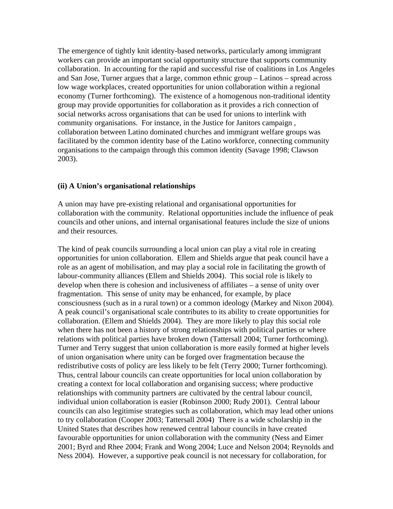The emergence of tightly knit identity-based networks, particularly among immigrant workers can provide an important social opportunity structure that supports community collaboration. In accounting for the rapid and successful rise of coalitions in Los Angeles and San Jose, Turner argues that a large, common ethnic group – Latinos – spread across low wage workplaces, created opportunities for union collaboration within a regional economy (Turner forthcoming). The existence of a homogenous non-traditional identity group may provide opportunities for collaboration as it provides a rich connection of social networks across organisations that can be used for unions to interlink with community organisations. For instance, in the Justice for Janitors campaign , collaboration between Latino dominated churches and immigrant welfare groups was facilitated by the common identity base of the Latino workforce, connecting community organisations to the campaign through this common identity (Savage 1998; Clawson 2003).

## **(ii) A Union's organisational relationships**

A union may have pre-existing relational and organisational opportunities for collaboration with the community. Relational opportunities include the influence of peak councils and other unions, and internal organisational features include the size of unions and their resources.

The kind of peak councils surrounding a local union can play a vital role in creating opportunities for union collaboration. Ellem and Shields argue that peak council have a role as an agent of mobilisation, and may play a social role in facilitating the growth of labour-community alliances (Ellem and Shields 2004). This social role is likely to develop when there is cohesion and inclusiveness of affiliates – a sense of unity over fragmentation. This sense of unity may be enhanced, for example, by place consciousness (such as in a rural town) or a common ideology (Markey and Nixon 2004). A peak council's organisational scale contributes to its ability to create opportunities for collaboration. (Ellem and Shields 2004). They are more likely to play this social role when there has not been a history of strong relationships with political parties or where relations with political parties have broken down (Tattersall 2004; Turner forthcoming). Turner and Terry suggest that union collaboration is more easily formed at higher levels of union organisation where unity can be forged over fragmentation because the redistributive costs of policy are less likely to be felt (Terry 2000; Turner forthcoming). Thus, central labour councils can create opportunities for local union collaboration by creating a context for local collaboration and organising success; where productive relationships with community partners are cultivated by the central labour council, individual union collaboration is easier (Robinson 2000; Rudy 2001). Central labour councils can also legitimise strategies such as collaboration, which may lead other unions to try collaboration (Cooper 2003; Tattersall 2004) There is a wide scholarship in the United States that describes how renewed central labour councils in have created favourable opportunities for union collaboration with the community (Ness and Eimer 2001; Byrd and Rhee 2004; Frank and Wong 2004; Luce and Nelson 2004; Reynolds and Ness 2004). However, a supportive peak council is not necessary for collaboration, for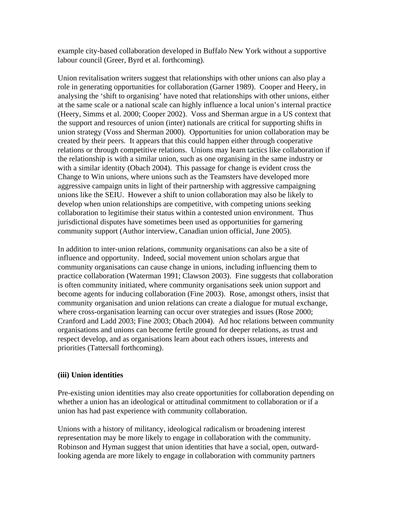example city-based collaboration developed in Buffalo New York without a supportive labour council (Greer, Byrd et al. forthcoming).

Union revitalisation writers suggest that relationships with other unions can also play a role in generating opportunities for collaboration (Garner 1989). Cooper and Heery, in analysing the 'shift to organising' have noted that relationships with other unions, either at the same scale or a national scale can highly influence a local union's internal practice (Heery, Simms et al. 2000; Cooper 2002). Voss and Sherman argue in a US context that the support and resources of union (inter) nationals are critical for supporting shifts in union strategy (Voss and Sherman 2000). Opportunities for union collaboration may be created by their peers. It appears that this could happen either through cooperative relations or through competitive relations. Unions may learn tactics like collaboration if the relationship is with a similar union, such as one organising in the same industry or with a similar identity (Obach 2004). This passage for change is evident cross the Change to Win unions, where unions such as the Teamsters have developed more aggressive campaign units in light of their partnership with aggressive campaigning unions like the SEIU. However a shift to union collaboration may also be likely to develop when union relationships are competitive, with competing unions seeking collaboration to legitimise their status within a contested union environment. Thus jurisdictional disputes have sometimes been used as opportunities for garnering community support (Author interview, Canadian union official, June 2005).

In addition to inter-union relations, community organisations can also be a site of influence and opportunity. Indeed, social movement union scholars argue that community organisations can cause change in unions, including influencing them to practice collaboration (Waterman 1991; Clawson 2003). Fine suggests that collaboration is often community initiated, where community organisations seek union support and become agents for inducing collaboration (Fine 2003). Rose, amongst others, insist that community organisation and union relations can create a dialogue for mutual exchange, where cross-organisation learning can occur over strategies and issues (Rose 2000; Cranford and Ladd 2003; Fine 2003; Obach 2004). Ad hoc relations between community organisations and unions can become fertile ground for deeper relations, as trust and respect develop, and as organisations learn about each others issues, interests and priorities (Tattersall forthcoming).

## **(iii) Union identities**

Pre-existing union identities may also create opportunities for collaboration depending on whether a union has an ideological or attitudinal commitment to collaboration or if a union has had past experience with community collaboration.

Unions with a history of militancy, ideological radicalism or broadening interest representation may be more likely to engage in collaboration with the community. Robinson and Hyman suggest that union identities that have a social, open, outwardlooking agenda are more likely to engage in collaboration with community partners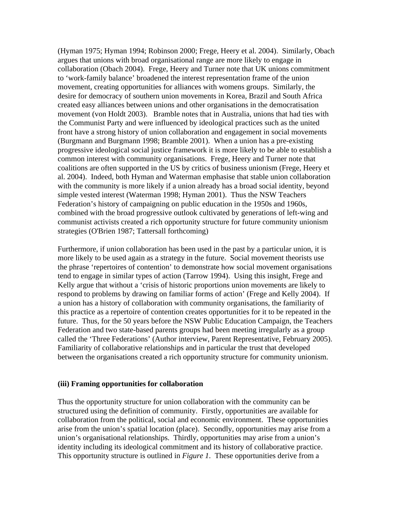(Hyman 1975; Hyman 1994; Robinson 2000; Frege, Heery et al. 2004). Similarly, Obach argues that unions with broad organisational range are more likely to engage in collaboration (Obach 2004). Frege, Heery and Turner note that UK unions commitment to 'work-family balance' broadened the interest representation frame of the union movement, creating opportunities for alliances with womens groups. Similarly, the desire for democracy of southern union movements in Korea, Brazil and South Africa created easy alliances between unions and other organisations in the democratisation movement (von Holdt 2003). Bramble notes that in Australia, unions that had ties with the Communist Party and were influenced by ideological practices such as the united front have a strong history of union collaboration and engagement in social movements (Burgmann and Burgmann 1998; Bramble 2001). When a union has a pre-existing progressive ideological social justice framework it is more likely to be able to establish a common interest with community organisations. Frege, Heery and Turner note that coalitions are often supported in the US by critics of business unionism (Frege, Heery et al. 2004). Indeed, both Hyman and Waterman emphasise that stable union collaboration with the community is more likely if a union already has a broad social identity, beyond simple vested interest (Waterman 1998; Hyman 2001). Thus the NSW Teachers Federation's history of campaigning on public education in the 1950s and 1960s, combined with the broad progressive outlook cultivated by generations of left-wing and communist activists created a rich opportunity structure for future community unionism strategies (O'Brien 1987; Tattersall forthcoming)

Furthermore, if union collaboration has been used in the past by a particular union, it is more likely to be used again as a strategy in the future. Social movement theorists use the phrase 'repertoires of contention' to demonstrate how social movement organisations tend to engage in similar types of action (Tarrow 1994). Using this insight, Frege and Kelly argue that without a 'crisis of historic proportions union movements are likely to respond to problems by drawing on familiar forms of action' (Frege and Kelly 2004). If a union has a history of collaboration with community organisations, the familiarity of this practice as a repertoire of contention creates opportunities for it to be repeated in the future. Thus, for the 50 years before the NSW Public Education Campaign, the Teachers Federation and two state-based parents groups had been meeting irregularly as a group called the 'Three Federations' (Author interview, Parent Representative, February 2005). Familiarity of collaborative relationships and in particular the trust that developed between the organisations created a rich opportunity structure for community unionism.

#### **(iii) Framing opportunities for collaboration**

Thus the opportunity structure for union collaboration with the community can be structured using the definition of community. Firstly, opportunities are available for collaboration from the political, social and economic environment. These opportunities arise from the union's spatial location (place). Secondly, opportunities may arise from a union's organisational relationships. Thirdly, opportunities may arise from a union's identity including its ideological commitment and its history of collaborative practice. This opportunity structure is outlined in *Figure 1*. These opportunities derive from a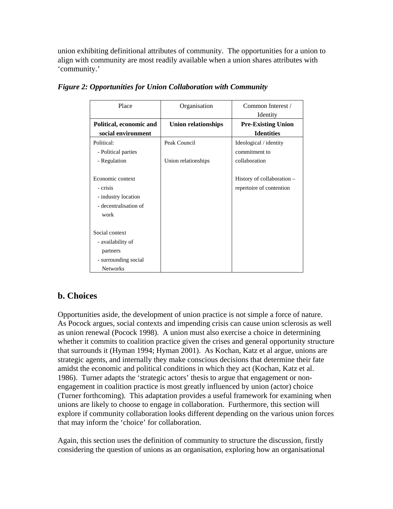union exhibiting definitional attributes of community. The opportunities for a union to align with community are most readily available when a union shares attributes with 'community.'

| Place                   | Organisation               | Common Interest /          |
|-------------------------|----------------------------|----------------------------|
|                         |                            | Identity                   |
| Political, economic and | <b>Union relationships</b> | <b>Pre-Existing Union</b>  |
| social environment      |                            | <b>Identities</b>          |
| Political:              | Peak Council               | Ideological / identity     |
| - Political parties     |                            | commitment to              |
| - Regulation            | Union relationships        | collaboration              |
|                         |                            |                            |
| Economic context        |                            | History of collaboration - |
| - crisis                |                            | repertoire of contention   |
| - industry location     |                            |                            |
| - decentralisation of   |                            |                            |
| work                    |                            |                            |
|                         |                            |                            |
| Social context          |                            |                            |
| - availability of       |                            |                            |
| partners                |                            |                            |
| - surrounding social    |                            |                            |
| <b>Networks</b>         |                            |                            |

*Figure 2: Opportunities for Union Collaboration with Community* 

## **b. Choices**

Opportunities aside, the development of union practice is not simple a force of nature. As Pocock argues, social contexts and impending crisis can cause union sclerosis as well as union renewal (Pocock 1998). A union must also exercise a choice in determining whether it commits to coalition practice given the crises and general opportunity structure that surrounds it (Hyman 1994; Hyman 2001). As Kochan, Katz et al argue, unions are strategic agents, and internally they make conscious decisions that determine their fate amidst the economic and political conditions in which they act (Kochan, Katz et al. 1986). Turner adapts the 'strategic actors' thesis to argue that engagement or nonengagement in coalition practice is most greatly influenced by union (actor) choice (Turner forthcoming). This adaptation provides a useful framework for examining when unions are likely to choose to engage in collaboration. Furthermore, this section will explore if community collaboration looks different depending on the various union forces that may inform the 'choice' for collaboration.

Again, this section uses the definition of community to structure the discussion, firstly considering the question of unions as an organisation, exploring how an organisational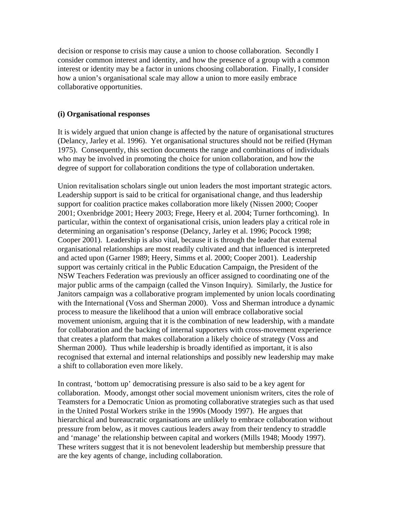decision or response to crisis may cause a union to choose collaboration. Secondly I consider common interest and identity, and how the presence of a group with a common interest or identity may be a factor in unions choosing collaboration. Finally, I consider how a union's organisational scale may allow a union to more easily embrace collaborative opportunities.

## **(i) Organisational responses**

It is widely argued that union change is affected by the nature of organisational structures (Delancy, Jarley et al. 1996). Yet organisational structures should not be reified (Hyman 1975). Consequently, this section documents the range and combinations of individuals who may be involved in promoting the choice for union collaboration, and how the degree of support for collaboration conditions the type of collaboration undertaken.

Union revitalisation scholars single out union leaders the most important strategic actors. Leadership support is said to be critical for organisational change, and thus leadership support for coalition practice makes collaboration more likely (Nissen 2000; Cooper 2001; Oxenbridge 2001; Heery 2003; Frege, Heery et al. 2004; Turner forthcoming). In particular, within the context of organisational crisis, union leaders play a critical role in determining an organisation's response (Delancy, Jarley et al. 1996; Pocock 1998; Cooper 2001). Leadership is also vital, because it is through the leader that external organisational relationships are most readily cultivated and that influenced is interpreted and acted upon (Garner 1989; Heery, Simms et al. 2000; Cooper 2001). Leadership support was certainly critical in the Public Education Campaign, the President of the NSW Teachers Federation was previously an officer assigned to coordinating one of the major public arms of the campaign (called the Vinson Inquiry). Similarly, the Justice for Janitors campaign was a collaborative program implemented by union locals coordinating with the International (Voss and Sherman 2000). Voss and Sherman introduce a dynamic process to measure the likelihood that a union will embrace collaborative social movement unionism, arguing that it is the combination of new leadership, with a mandate for collaboration and the backing of internal supporters with cross-movement experience that creates a platform that makes collaboration a likely choice of strategy (Voss and Sherman 2000). Thus while leadership is broadly identified as important, it is also recognised that external and internal relationships and possibly new leadership may make a shift to collaboration even more likely.

In contrast, 'bottom up' democratising pressure is also said to be a key agent for collaboration. Moody, amongst other social movement unionism writers, cites the role of Teamsters for a Democratic Union as promoting collaborative strategies such as that used in the United Postal Workers strike in the 1990s (Moody 1997). He argues that hierarchical and bureaucratic organisations are unlikely to embrace collaboration without pressure from below, as it moves cautious leaders away from their tendency to straddle and 'manage' the relationship between capital and workers (Mills 1948; Moody 1997). These writers suggest that it is not benevolent leadership but membership pressure that are the key agents of change, including collaboration.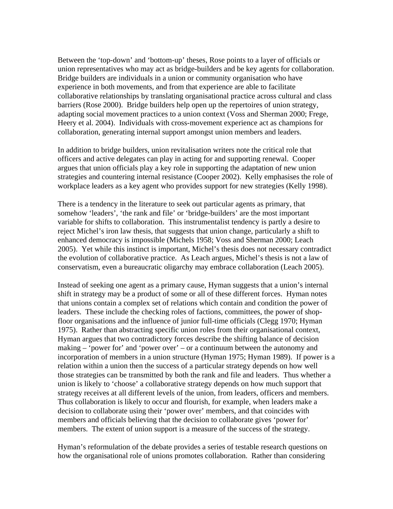Between the 'top-down' and 'bottom-up' theses, Rose points to a layer of officials or union representatives who may act as bridge-builders and be key agents for collaboration. Bridge builders are individuals in a union or community organisation who have experience in both movements, and from that experience are able to facilitate collaborative relationships by translating organisational practice across cultural and class barriers (Rose 2000). Bridge builders help open up the repertoires of union strategy, adapting social movement practices to a union context (Voss and Sherman 2000; Frege, Heery et al. 2004). Individuals with cross-movement experience act as champions for collaboration, generating internal support amongst union members and leaders.

In addition to bridge builders, union revitalisation writers note the critical role that officers and active delegates can play in acting for and supporting renewal. Cooper argues that union officials play a key role in supporting the adaptation of new union strategies and countering internal resistance (Cooper 2002). Kelly emphasises the role of workplace leaders as a key agent who provides support for new strategies (Kelly 1998).

There is a tendency in the literature to seek out particular agents as primary, that somehow 'leaders', 'the rank and file' or 'bridge-builders' are the most important variable for shifts to collaboration. This instrumentalist tendency is partly a desire to reject Michel's iron law thesis, that suggests that union change, particularly a shift to enhanced democracy is impossible (Michels 1958; Voss and Sherman 2000; Leach 2005). Yet while this instinct is important, Michel's thesis does not necessary contradict the evolution of collaborative practice. As Leach argues, Michel's thesis is not a law of conservatism, even a bureaucratic oligarchy may embrace collaboration (Leach 2005).

Instead of seeking one agent as a primary cause, Hyman suggests that a union's internal shift in strategy may be a product of some or all of these different forces. Hyman notes that unions contain a complex set of relations which contain and condition the power of leaders. These include the checking roles of factions, committees, the power of shopfloor organisations and the influence of junior full-time officials (Clegg 1970; Hyman 1975). Rather than abstracting specific union roles from their organisational context, Hyman argues that two contradictory forces describe the shifting balance of decision making – 'power for' and 'power over' – or a continuum between the autonomy and incorporation of members in a union structure (Hyman 1975; Hyman 1989). If power is a relation within a union then the success of a particular strategy depends on how well those strategies can be transmitted by both the rank and file and leaders. Thus whether a union is likely to 'choose' a collaborative strategy depends on how much support that strategy receives at all different levels of the union, from leaders, officers and members. Thus collaboration is likely to occur and flourish, for example, when leaders make a decision to collaborate using their 'power over' members, and that coincides with members and officials believing that the decision to collaborate gives 'power for' members. The extent of union support is a measure of the success of the strategy.

Hyman's reformulation of the debate provides a series of testable research questions on how the organisational role of unions promotes collaboration. Rather than considering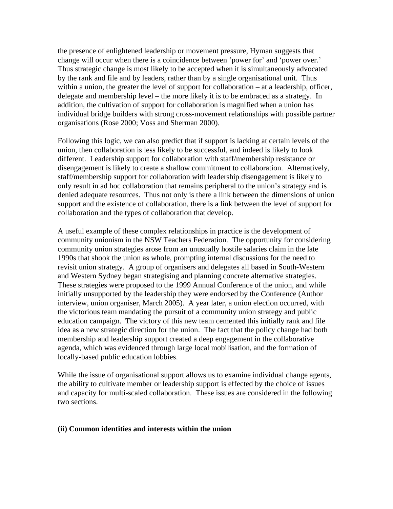the presence of enlightened leadership or movement pressure, Hyman suggests that change will occur when there is a coincidence between 'power for' and 'power over.' Thus strategic change is most likely to be accepted when it is simultaneously advocated by the rank and file and by leaders, rather than by a single organisational unit. Thus within a union, the greater the level of support for collaboration – at a leadership, officer, delegate and membership level – the more likely it is to be embraced as a strategy. In addition, the cultivation of support for collaboration is magnified when a union has individual bridge builders with strong cross-movement relationships with possible partner organisations (Rose 2000; Voss and Sherman 2000).

Following this logic, we can also predict that if support is lacking at certain levels of the union, then collaboration is less likely to be successful, and indeed is likely to look different. Leadership support for collaboration with staff/membership resistance or disengagement is likely to create a shallow commitment to collaboration. Alternatively, staff/membership support for collaboration with leadership disengagement is likely to only result in ad hoc collaboration that remains peripheral to the union's strategy and is denied adequate resources. Thus not only is there a link between the dimensions of union support and the existence of collaboration, there is a link between the level of support for collaboration and the types of collaboration that develop.

A useful example of these complex relationships in practice is the development of community unionism in the NSW Teachers Federation. The opportunity for considering community union strategies arose from an unusually hostile salaries claim in the late 1990s that shook the union as whole, prompting internal discussions for the need to revisit union strategy. A group of organisers and delegates all based in South-Western and Western Sydney began strategising and planning concrete alternative strategies. These strategies were proposed to the 1999 Annual Conference of the union, and while initially unsupported by the leadership they were endorsed by the Conference (Author interview, union organiser, March 2005). A year later, a union election occurred, with the victorious team mandating the pursuit of a community union strategy and public education campaign. The victory of this new team cemented this initially rank and file idea as a new strategic direction for the union. The fact that the policy change had both membership and leadership support created a deep engagement in the collaborative agenda, which was evidenced through large local mobilisation, and the formation of locally-based public education lobbies.

While the issue of organisational support allows us to examine individual change agents, the ability to cultivate member or leadership support is effected by the choice of issues and capacity for multi-scaled collaboration. These issues are considered in the following two sections.

#### **(ii) Common identities and interests within the union**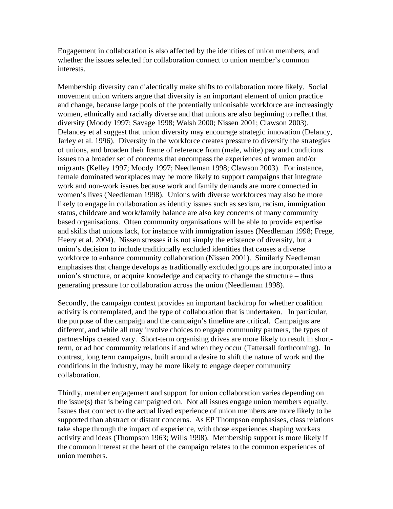Engagement in collaboration is also affected by the identities of union members, and whether the issues selected for collaboration connect to union member's common interests.

Membership diversity can dialectically make shifts to collaboration more likely. Social movement union writers argue that diversity is an important element of union practice and change, because large pools of the potentially unionisable workforce are increasingly women, ethnically and racially diverse and that unions are also beginning to reflect that diversity (Moody 1997; Savage 1998; Walsh 2000; Nissen 2001; Clawson 2003). Delancey et al suggest that union diversity may encourage strategic innovation (Delancy, Jarley et al. 1996). Diversity in the workforce creates pressure to diversify the strategies of unions, and broaden their frame of reference from (male, white) pay and conditions issues to a broader set of concerns that encompass the experiences of women and/or migrants (Kelley 1997; Moody 1997; Needleman 1998; Clawson 2003). For instance, female dominated workplaces may be more likely to support campaigns that integrate work and non-work issues because work and family demands are more connected in women's lives (Needleman 1998). Unions with diverse workforces may also be more likely to engage in collaboration as identity issues such as sexism, racism, immigration status, childcare and work/family balance are also key concerns of many community based organisations. Often community organisations will be able to provide expertise and skills that unions lack, for instance with immigration issues (Needleman 1998; Frege, Heery et al. 2004). Nissen stresses it is not simply the existence of diversity, but a union's decision to include traditionally excluded identities that causes a diverse workforce to enhance community collaboration (Nissen 2001). Similarly Needleman emphasises that change develops as traditionally excluded groups are incorporated into a union's structure, or acquire knowledge and capacity to change the structure – thus generating pressure for collaboration across the union (Needleman 1998).

Secondly, the campaign context provides an important backdrop for whether coalition activity is contemplated, and the type of collaboration that is undertaken. In particular, the purpose of the campaign and the campaign's timeline are critical. Campaigns are different, and while all may involve choices to engage community partners, the types of partnerships created vary. Short-term organising drives are more likely to result in shortterm, or ad hoc community relations if and when they occur (Tattersall forthcoming). In contrast, long term campaigns, built around a desire to shift the nature of work and the conditions in the industry, may be more likely to engage deeper community collaboration.

Thirdly, member engagement and support for union collaboration varies depending on the issue(s) that is being campaigned on. Not all issues engage union members equally. Issues that connect to the actual lived experience of union members are more likely to be supported than abstract or distant concerns. As EP Thompson emphasises, class relations take shape through the impact of experience, with those experiences shaping workers activity and ideas (Thompson 1963; Wills 1998). Membership support is more likely if the common interest at the heart of the campaign relates to the common experiences of union members.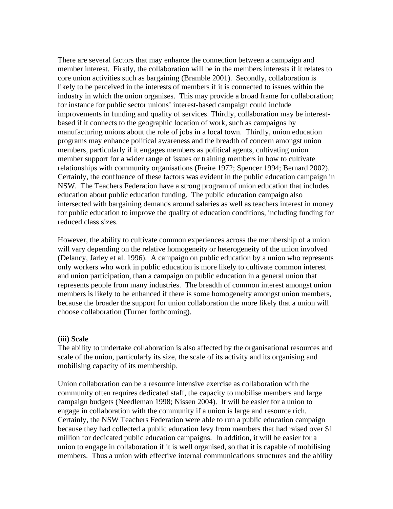There are several factors that may enhance the connection between a campaign and member interest. Firstly, the collaboration will be in the members interests if it relates to core union activities such as bargaining (Bramble 2001). Secondly, collaboration is likely to be perceived in the interests of members if it is connected to issues within the industry in which the union organises. This may provide a broad frame for collaboration; for instance for public sector unions' interest-based campaign could include improvements in funding and quality of services. Thirdly, collaboration may be interestbased if it connects to the geographic location of work, such as campaigns by manufacturing unions about the role of jobs in a local town. Thirdly, union education programs may enhance political awareness and the breadth of concern amongst union members, particularly if it engages members as political agents, cultivating union member support for a wider range of issues or training members in how to cultivate relationships with community organisations (Freire 1972; Spencer 1994; Bernard 2002). Certainly, the confluence of these factors was evident in the public education campaign in NSW. The Teachers Federation have a strong program of union education that includes education about public education funding. The public education campaign also intersected with bargaining demands around salaries as well as teachers interest in money for public education to improve the quality of education conditions, including funding for reduced class sizes.

However, the ability to cultivate common experiences across the membership of a union will vary depending on the relative homogeneity or heterogeneity of the union involved (Delancy, Jarley et al. 1996). A campaign on public education by a union who represents only workers who work in public education is more likely to cultivate common interest and union participation, than a campaign on public education in a general union that represents people from many industries. The breadth of common interest amongst union members is likely to be enhanced if there is some homogeneity amongst union members, because the broader the support for union collaboration the more likely that a union will choose collaboration (Turner forthcoming).

#### **(iii) Scale**

The ability to undertake collaboration is also affected by the organisational resources and scale of the union, particularly its size, the scale of its activity and its organising and mobilising capacity of its membership.

Union collaboration can be a resource intensive exercise as collaboration with the community often requires dedicated staff, the capacity to mobilise members and large campaign budgets (Needleman 1998; Nissen 2004). It will be easier for a union to engage in collaboration with the community if a union is large and resource rich. Certainly, the NSW Teachers Federation were able to run a public education campaign because they had collected a public education levy from members that had raised over \$1 million for dedicated public education campaigns. In addition, it will be easier for a union to engage in collaboration if it is well organised, so that it is capable of mobilising members. Thus a union with effective internal communications structures and the ability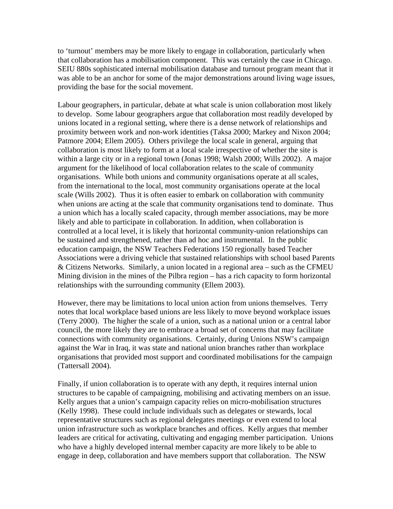to 'turnout' members may be more likely to engage in collaboration, particularly when that collaboration has a mobilisation component. This was certainly the case in Chicago. SEIU 880s sophisticated internal mobilisation database and turnout program meant that it was able to be an anchor for some of the major demonstrations around living wage issues, providing the base for the social movement.

Labour geographers, in particular, debate at what scale is union collaboration most likely to develop. Some labour geographers argue that collaboration most readily developed by unions located in a regional setting, where there is a dense network of relationships and proximity between work and non-work identities (Taksa 2000; Markey and Nixon 2004; Patmore 2004; Ellem 2005). Others privilege the local scale in general, arguing that collaboration is most likely to form at a local scale irrespective of whether the site is within a large city or in a regional town (Jonas 1998; Walsh 2000; Wills 2002). A major argument for the likelihood of local collaboration relates to the scale of community organisations. While both unions and community organisations operate at all scales, from the international to the local, most community organisations operate at the local scale (Wills 2002). Thus it is often easier to embark on collaboration with community when unions are acting at the scale that community organisations tend to dominate. Thus a union which has a locally scaled capacity, through member associations, may be more likely and able to participate in collaboration. In addition, when collaboration is controlled at a local level, it is likely that horizontal community-union relationships can be sustained and strengthened, rather than ad hoc and instrumental. In the public education campaign, the NSW Teachers Federations 150 regionally based Teacher Associations were a driving vehicle that sustained relationships with school based Parents & Citizens Networks. Similarly, a union located in a regional area – such as the CFMEU Mining division in the mines of the Pilbra region – has a rich capacity to form horizontal relationships with the surrounding community (Ellem 2003).

However, there may be limitations to local union action from unions themselves. Terry notes that local workplace based unions are less likely to move beyond workplace issues (Terry 2000). The higher the scale of a union, such as a national union or a central labor council, the more likely they are to embrace a broad set of concerns that may facilitate connections with community organisations. Certainly, during Unions NSW's campaign against the War in Iraq, it was state and national union branches rather than workplace organisations that provided most support and coordinated mobilisations for the campaign (Tattersall 2004).

Finally, if union collaboration is to operate with any depth, it requires internal union structures to be capable of campaigning, mobilising and activating members on an issue. Kelly argues that a union's campaign capacity relies on micro-mobilisation structures (Kelly 1998). These could include individuals such as delegates or stewards, local representative structures such as regional delegates meetings or even extend to local union infrastructure such as workplace branches and offices. Kelly argues that member leaders are critical for activating, cultivating and engaging member participation. Unions who have a highly developed internal member capacity are more likely to be able to engage in deep, collaboration and have members support that collaboration. The NSW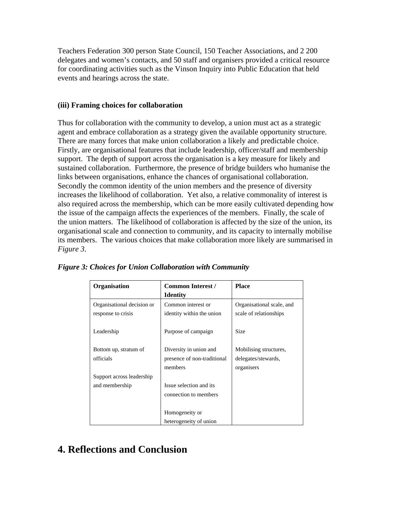Teachers Federation 300 person State Council, 150 Teacher Associations, and 2 200 delegates and women's contacts, and 50 staff and organisers provided a critical resource for coordinating activities such as the Vinson Inquiry into Public Education that held events and hearings across the state.

## **(iii) Framing choices for collaboration**

Thus for collaboration with the community to develop, a union must act as a strategic agent and embrace collaboration as a strategy given the available opportunity structure. There are many forces that make union collaboration a likely and predictable choice. Firstly, are organisational features that include leadership, officer/staff and membership support. The depth of support across the organisation is a key measure for likely and sustained collaboration. Furthermore, the presence of bridge builders who humanise the links between organisations, enhance the chances of organisational collaboration. Secondly the common identity of the union members and the presence of diversity increases the likelihood of collaboration. Yet also, a relative commonality of interest is also required across the membership, which can be more easily cultivated depending how the issue of the campaign affects the experiences of the members. Finally, the scale of the union matters. The likelihood of collaboration is affected by the size of the union, its organisational scale and connection to community, and its capacity to internally mobilise its members. The various choices that make collaboration more likely are summarised in *Figure 3*.

| Organisation               | <b>Common Interest /</b>    | <b>Place</b>              |
|----------------------------|-----------------------------|---------------------------|
|                            | <b>Identity</b>             |                           |
| Organisational decision or | Common interest or          | Organisational scale, and |
| response to crisis         | identity within the union   | scale of relationships    |
|                            |                             |                           |
| Leadership                 | Purpose of campaign         | <b>Size</b>               |
|                            |                             |                           |
| Bottom up, stratum of      | Diversity in union and      | Mobilising structures,    |
| officials                  | presence of non-traditional | delegates/stewards,       |
|                            | members                     | organisers                |
| Support across leadership  |                             |                           |
| and membership             | Issue selection and its.    |                           |
|                            | connection to members       |                           |
|                            |                             |                           |
|                            | Homogeneity or              |                           |
|                            | heterogeneity of union      |                           |

*Figure 3: Choices for Union Collaboration with Community* 

# **4. Reflections and Conclusion**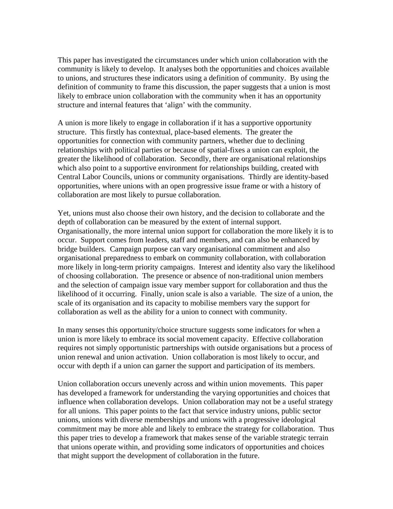This paper has investigated the circumstances under which union collaboration with the community is likely to develop. It analyses both the opportunities and choices available to unions, and structures these indicators using a definition of community. By using the definition of community to frame this discussion, the paper suggests that a union is most likely to embrace union collaboration with the community when it has an opportunity structure and internal features that 'align' with the community.

A union is more likely to engage in collaboration if it has a supportive opportunity structure. This firstly has contextual, place-based elements. The greater the opportunities for connection with community partners, whether due to declining relationships with political parties or because of spatial-fixes a union can exploit, the greater the likelihood of collaboration. Secondly, there are organisational relationships which also point to a supportive environment for relationships building, created with Central Labor Councils, unions or community organisations. Thirdly are identity-based opportunities, where unions with an open progressive issue frame or with a history of collaboration are most likely to pursue collaboration.

Yet, unions must also choose their own history, and the decision to collaborate and the depth of collaboration can be measured by the extent of internal support. Organisationally, the more internal union support for collaboration the more likely it is to occur. Support comes from leaders, staff and members, and can also be enhanced by bridge builders. Campaign purpose can vary organisational commitment and also organisational preparedness to embark on community collaboration, with collaboration more likely in long-term priority campaigns. Interest and identity also vary the likelihood of choosing collaboration. The presence or absence of non-traditional union members and the selection of campaign issue vary member support for collaboration and thus the likelihood of it occurring. Finally, union scale is also a variable. The size of a union, the scale of its organisation and its capacity to mobilise members vary the support for collaboration as well as the ability for a union to connect with community.

In many senses this opportunity/choice structure suggests some indicators for when a union is more likely to embrace its social movement capacity. Effective collaboration requires not simply opportunistic partnerships with outside organisations but a process of union renewal and union activation. Union collaboration is most likely to occur, and occur with depth if a union can garner the support and participation of its members.

Union collaboration occurs unevenly across and within union movements. This paper has developed a framework for understanding the varying opportunities and choices that influence when collaboration develops. Union collaboration may not be a useful strategy for all unions. This paper points to the fact that service industry unions, public sector unions, unions with diverse memberships and unions with a progressive ideological commitment may be more able and likely to embrace the strategy for collaboration. Thus this paper tries to develop a framework that makes sense of the variable strategic terrain that unions operate within, and providing some indicators of opportunities and choices that might support the development of collaboration in the future.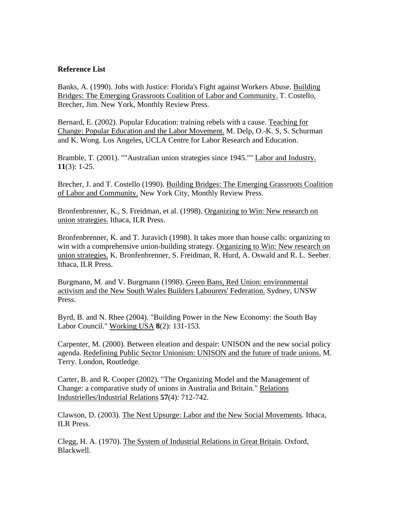## **Reference List**

Banks, A. (1990). Jobs with Justice: Florida's Fight against Workers Abuse. Building Bridges: The Emerging Grassroots Coalition of Labor and Community. T. Costello, Brecher, Jim. New York, Monthly Review Press.

Bernard, E. (2002). Popular Education: training rebels with a cause. Teaching for Change: Popular Education and the Labor Movement. M. Delp, O.-K. S, S. Schurman and K. Wong. Los Angeles, UCLA Centre for Labor Research and Education.

Bramble, T. (2001). ""Australian union strategies since 1945."" Labor and Industry. **11**(3): 1-25.

Brecher, J. and T. Costello (1990). Building Bridges: The Emerging Grassroots Coalition of Labor and Community. New York City, Monthly Review Press.

Bronfenbrenner, K., S. Freidman, et al. (1998). Organizing to Win: New research on union strategies. Ithaca, ILR Press.

Bronfenbrenner, K. and T. Juravich (1998). It takes more than house calls: organizing to win with a comprehensive union-building strategy. Organizing to Win: New research on union strategies. K. Bronfenbrenner, S. Freidman, R. Hurd, A. Oswald and R. L. Seeber. Ithaca, ILR Press.

Burgmann, M. and V. Burgmann (1998). Green Bans, Red Union: environmental activism and the New South Wales Builders Labourers' Federation. Sydney, UNSW Press.

Byrd, B. and N. Rhee (2004). "Building Power in the New Economy: the South Bay Labor Council." Working USA **8**(2): 131-153.

Carpenter, M. (2000). Between eleation and despair: UNISON and the new social policy agenda. Redefining Public Sector Unionism: UNISON and the future of trade unions. M. Terry. London, Routledge.

Carter, B. and R. Cooper (2002). "The Organizing Model and the Management of Change: a comparative study of unions in Australia and Britain." Relations Industrielles/Industrial Relations **57**(4): 712-742.

Clawson, D. (2003). The Next Upsurge: Labor and the New Social Movements. Ithaca, ILR Press.

Clegg, H. A. (1970). The System of Industrial Relations in Great Britain. Oxford, Blackwell.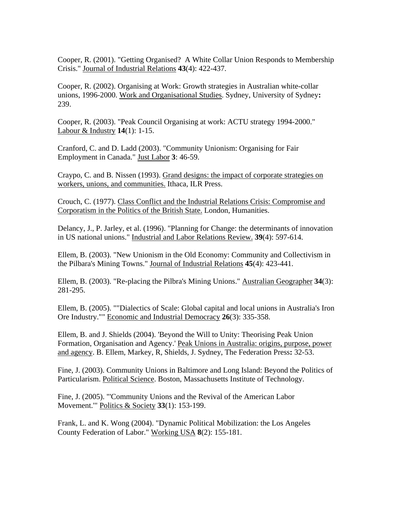Cooper, R. (2001). "Getting Organised? A White Collar Union Responds to Membership Crisis." Journal of Industrial Relations **43**(4): 422-437.

Cooper, R. (2002). Organising at Work: Growth strategies in Australian white-collar unions, 1996-2000. Work and Organisational Studies. Sydney, University of Sydney**:**  239.

Cooper, R. (2003). "Peak Council Organising at work: ACTU strategy 1994-2000." Labour & Industry **14**(1): 1-15.

Cranford, C. and D. Ladd (2003). "Community Unionism: Organising for Fair Employment in Canada." Just Labor **3**: 46-59.

Craypo, C. and B. Nissen (1993). Grand designs: the impact of corporate strategies on workers, unions, and communities. Ithaca, ILR Press.

Crouch, C. (1977). Class Conflict and the Industrial Relations Crisis: Compromise and Corporatism in the Politics of the British State. London, Humanities.

Delancy, J., P. Jarley, et al. (1996). "Planning for Change: the determinants of innovation in US national unions." Industrial and Labor Relations Review. **39**(4): 597-614.

Ellem, B. (2003). "New Unionism in the Old Economy: Community and Collectivism in the Pilbara's Mining Towns." Journal of Industrial Relations **45**(4): 423-441.

Ellem, B. (2003). "Re-placing the Pilbra's Mining Unions." Australian Geographer **34**(3): 281-295.

Ellem, B. (2005). ""Dialectics of Scale: Global capital and local unions in Australia's Iron Ore Industry."" Economic and Industrial Democracy **26**(3): 335-358.

Ellem, B. and J. Shields (2004). 'Beyond the Will to Unity: Theorising Peak Union Formation, Organisation and Agency.' Peak Unions in Australia: origins, purpose, power and agency. B. Ellem, Markey, R, Shields, J. Sydney, The Federation Press**:** 32-53.

Fine, J. (2003). Community Unions in Baltimore and Long Island: Beyond the Politics of Particularism. Political Science. Boston, Massachusetts Institute of Technology.

Fine, J. (2005). "'Community Unions and the Revival of the American Labor Movement.'" Politics & Society **33**(1): 153-199.

Frank, L. and K. Wong (2004). "Dynamic Political Mobilization: the Los Angeles County Federation of Labor." Working USA **8**(2): 155-181.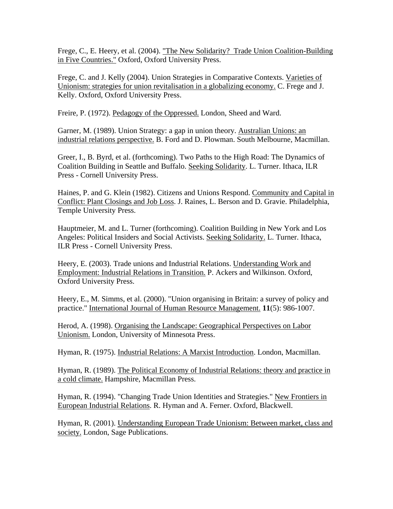Frege, C., E. Heery, et al. (2004). "The New Solidarity? Trade Union Coalition-Building in Five Countries." Oxford, Oxford University Press.

Frege, C. and J. Kelly (2004). Union Strategies in Comparative Contexts. Varieties of Unionism: strategies for union revitalisation in a globalizing economy. C. Frege and J. Kelly. Oxford, Oxford University Press.

Freire, P. (1972). Pedagogy of the Oppressed. London, Sheed and Ward.

Garner, M. (1989). Union Strategy: a gap in union theory. Australian Unions: an industrial relations perspective. B. Ford and D. Plowman. South Melbourne, Macmillan.

Greer, I., B. Byrd, et al. (forthcoming). Two Paths to the High Road: The Dynamics of Coalition Building in Seattle and Buffalo. Seeking Solidarity. L. Turner. Ithaca, ILR Press - Cornell University Press.

Haines, P. and G. Klein (1982). Citizens and Unions Respond. Community and Capital in Conflict: Plant Closings and Job Loss. J. Raines, L. Berson and D. Gravie. Philadelphia, Temple University Press.

Hauptmeier, M. and L. Turner (forthcoming). Coalition Building in New York and Los Angeles: Political Insiders and Social Activists. Seeking Solidarity. L. Turner. Ithaca, ILR Press - Cornell University Press.

Heery, E. (2003). Trade unions and Industrial Relations. Understanding Work and Employment: Industrial Relations in Transition. P. Ackers and Wilkinson. Oxford, Oxford University Press.

Heery, E., M. Simms, et al. (2000). "Union organising in Britain: a survey of policy and practice." International Journal of Human Resource Management. **11**(5): 986-1007.

Herod, A. (1998). Organising the Landscape: Geographical Perspectives on Labor Unionism. London, University of Minnesota Press.

Hyman, R. (1975). Industrial Relations: A Marxist Introduction. London, Macmillan.

Hyman, R. (1989). The Political Economy of Industrial Relations: theory and practice in a cold climate. Hampshire, Macmillan Press.

Hyman, R. (1994). "Changing Trade Union Identities and Strategies." New Frontiers in European Industrial Relations. R. Hyman and A. Ferner. Oxford, Blackwell.

Hyman, R. (2001). Understanding European Trade Unionism: Between market, class and society. London, Sage Publications.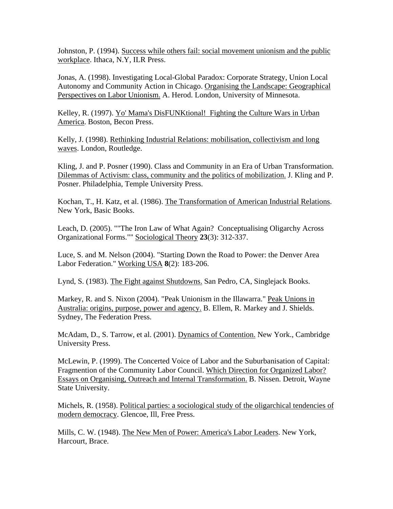Johnston, P. (1994). Success while others fail: social movement unionism and the public workplace. Ithaca, N.Y, ILR Press.

Jonas, A. (1998). Investigating Local-Global Paradox: Corporate Strategy, Union Local Autonomy and Community Action in Chicago. Organising the Landscape: Geographical Perspectives on Labor Unionism. A. Herod. London, University of Minnesota.

Kelley, R. (1997). Yo' Mama's DisFUNKtional! Fighting the Culture Wars in Urban America. Boston, Becon Press.

Kelly, J. (1998). Rethinking Industrial Relations: mobilisation, collectivism and long waves. London, Routledge.

Kling, J. and P. Posner (1990). Class and Community in an Era of Urban Transformation. Dilemmas of Activism: class, community and the politics of mobilization. J. Kling and P. Posner. Philadelphia, Temple University Press.

Kochan, T., H. Katz, et al. (1986). The Transformation of American Industrial Relations. New York, Basic Books.

Leach, D. (2005). ""The Iron Law of What Again? Conceptualising Oligarchy Across Organizational Forms."" Sociological Theory **23**(3): 312-337.

Luce, S. and M. Nelson (2004). "Starting Down the Road to Power: the Denver Area Labor Federation." Working USA **8**(2): 183-206.

Lynd, S. (1983). The Fight against Shutdowns. San Pedro, CA, Singlejack Books.

Markey, R. and S. Nixon (2004). "Peak Unionism in the Illawarra." Peak Unions in Australia: origins, purpose, power and agency. B. Ellem, R. Markey and J. Shields. Sydney, The Federation Press.

McAdam, D., S. Tarrow, et al. (2001). Dynamics of Contention. New York., Cambridge University Press.

McLewin, P. (1999). The Concerted Voice of Labor and the Suburbanisation of Capital: Fragmention of the Community Labor Council. Which Direction for Organized Labor? Essays on Organising, Outreach and Internal Transformation. B. Nissen. Detroit, Wayne State University.

Michels, R. (1958). Political parties: a sociological study of the oligarchical tendencies of modern democracy. Glencoe, Ill, Free Press.

Mills, C. W. (1948). The New Men of Power: America's Labor Leaders. New York, Harcourt, Brace.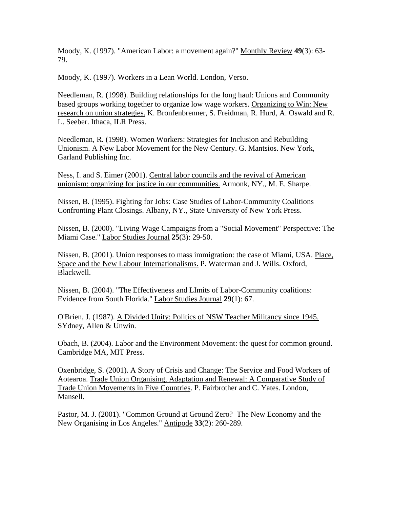Moody, K. (1997). "American Labor: a movement again?" Monthly Review **49**(3): 63- 79.

Moody, K. (1997). Workers in a Lean World. London, Verso.

Needleman, R. (1998). Building relationships for the long haul: Unions and Community based groups working together to organize low wage workers. Organizing to Win: New research on union strategies. K. Bronfenbrenner, S. Freidman, R. Hurd, A. Oswald and R. L. Seeber. Ithaca, ILR Press.

Needleman, R. (1998). Women Workers: Strategies for Inclusion and Rebuilding Unionism. A New Labor Movement for the New Century. G. Mantsios. New York, Garland Publishing Inc.

Ness, I. and S. Eimer (2001). Central labor councils and the revival of American unionism: organizing for justice in our communities. Armonk, NY., M. E. Sharpe.

Nissen, B. (1995). Fighting for Jobs: Case Studies of Labor-Community Coalitions Confronting Plant Closings. Albany, NY., State University of New York Press.

Nissen, B. (2000). "Living Wage Campaigns from a "Social Movement" Perspective: The Miami Case." Labor Studies Journal **25**(3): 29-50.

Nissen, B. (2001). Union responses to mass immigration: the case of Miami, USA. Place, Space and the New Labour Internationalisms. P. Waterman and J. Wills. Oxford, Blackwell.

Nissen, B. (2004). "The Effectiveness and LImits of Labor-Community coalitions: Evidence from South Florida." Labor Studies Journal **29**(1): 67.

O'Brien, J. (1987). A Divided Unity: Politics of NSW Teacher Militancy since 1945. SYdney, Allen & Unwin.

Obach, B. (2004). Labor and the Environment Movement: the quest for common ground. Cambridge MA, MIT Press.

Oxenbridge, S. (2001). A Story of Crisis and Change: The Service and Food Workers of Aotearoa. Trade Union Organising, Adaptation and Renewal: A Comparative Study of Trade Union Movements in Five Countries. P. Fairbrother and C. Yates. London, Mansell.

Pastor, M. J. (2001). "Common Ground at Ground Zero? The New Economy and the New Organising in Los Angeles." Antipode **33**(2): 260-289.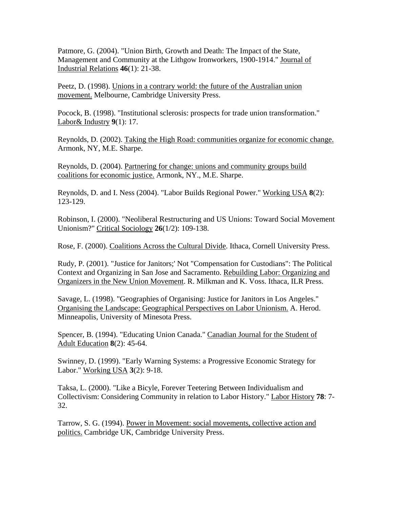Patmore, G. (2004). "Union Birth, Growth and Death: The Impact of the State, Management and Community at the Lithgow Ironworkers, 1900-1914." Journal of Industrial Relations **46**(1): 21-38.

Peetz, D. (1998). Unions in a contrary world: the future of the Australian union movement. Melbourne, Cambridge University Press.

Pocock, B. (1998). "Institutional sclerosis: prospects for trade union transformation." Labor& Industry **9**(1): 17.

Reynolds, D. (2002). Taking the High Road: communities organize for economic change. Armonk, NY, M.E. Sharpe.

Reynolds, D. (2004). Partnering for change: unions and community groups build coalitions for economic justice. Armonk, NY., M.E. Sharpe.

Reynolds, D. and I. Ness (2004). "Labor Builds Regional Power." Working USA **8**(2): 123-129.

Robinson, I. (2000). "Neoliberal Restructuring and US Unions: Toward Social Movement Unionism?" Critical Sociology **26**(1/2): 109-138.

Rose, F. (2000). Coalitions Across the Cultural Divide. Ithaca, Cornell University Press.

Rudy, P. (2001). "Justice for Janitors;' Not "Compensation for Custodians": The Political Context and Organizing in San Jose and Sacramento. Rebuilding Labor: Organizing and Organizers in the New Union Movement. R. Milkman and K. Voss. Ithaca, ILR Press.

Savage, L. (1998). "Geographies of Organising: Justice for Janitors in Los Angeles." Organising the Landscape: Geographical Perspectives on Labor Unionism. A. Herod. Minneapolis, University of Minesota Press.

Spencer, B. (1994). "Educating Union Canada." Canadian Journal for the Student of Adult Education **8**(2): 45-64.

Swinney, D. (1999). "Early Warning Systems: a Progressive Economic Strategy for Labor." Working USA **3**(2): 9-18.

Taksa, L. (2000). "Like a Bicyle, Forever Teetering Between Individualism and Collectivism: Considering Community in relation to Labor History." Labor History **78**: 7- 32.

Tarrow, S. G. (1994). Power in Movement: social movements, collective action and politics. Cambridge UK, Cambridge University Press.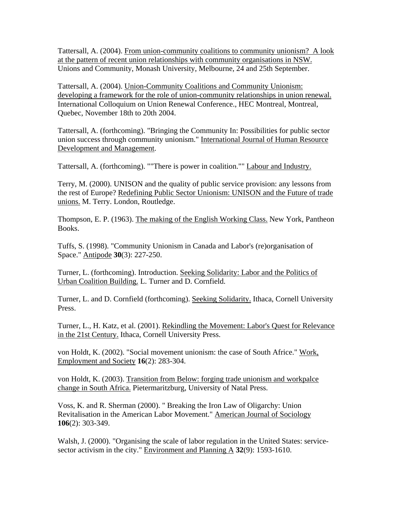Tattersall, A. (2004). From union-community coalitions to community unionism? A look at the pattern of recent union relationships with community organisations in NSW. Unions and Community, Monash University, Melbourne, 24 and 25th September.

Tattersall, A. (2004). Union-Community Coalitions and Community Unionism: developing a framework for the role of union-community relationships in union renewal. International Colloquium on Union Renewal Conference., HEC Montreal, Montreal, Quebec, November 18th to 20th 2004.

Tattersall, A. (forthcoming). "Bringing the Community In: Possibilities for public sector union success through community unionism." International Journal of Human Resource Development and Management.

Tattersall, A. (forthcoming). ""There is power in coalition."" Labour and Industry.

Terry, M. (2000). UNISON and the quality of public service provision: any lessons from the rest of Europe? Redefining Public Sector Unionism: UNISON and the Future of trade unions. M. Terry. London, Routledge.

Thompson, E. P. (1963). The making of the English Working Class. New York, Pantheon Books.

Tuffs, S. (1998). "Community Unionism in Canada and Labor's (re)organisation of Space." Antipode **30**(3): 227-250.

Turner, L. (forthcoming). Introduction. Seeking Solidarity: Labor and the Politics of Urban Coalition Building. L. Turner and D. Cornfield.

Turner, L. and D. Cornfield (forthcoming). Seeking Solidarity. Ithaca, Cornell University Press.

Turner, L., H. Katz, et al. (2001). Rekindling the Movement: Labor's Quest for Relevance in the 21st Century. Ithaca, Cornell University Press.

von Holdt, K. (2002). "Social movement unionism: the case of South Africe." Work, Employment and Society **16**(2): 283-304.

von Holdt, K. (2003). Transition from Below: forging trade unionism and workpalce change in South Africa. Pietermaritzburg, University of Natal Press.

Voss, K. and R. Sherman (2000). " Breaking the Iron Law of Oligarchy: Union Revitalisation in the American Labor Movement." American Journal of Sociology **106**(2): 303-349.

Walsh, J. (2000). "Organising the scale of labor regulation in the United States: servicesector activism in the city." Environment and Planning A **32**(9): 1593-1610.